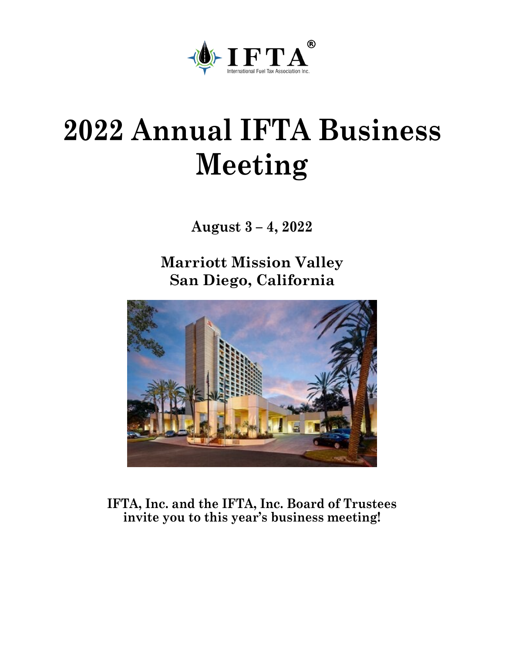

# **2022 Annual IFTA Business Meeting**

**August 3 – 4, 2022**

**Marriott Mission Valley San Diego, California**



**IFTA, Inc. and the IFTA, Inc. Board of Trustees invite you to this year's business meeting!**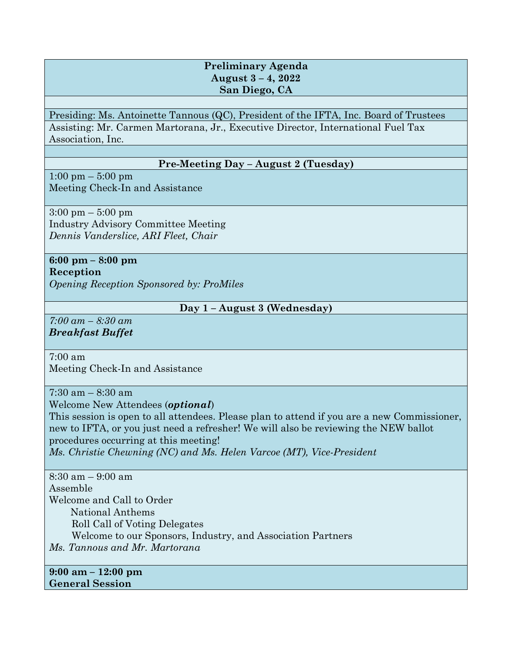# **Preliminary Agenda August 3 – 4, 2022 San Diego, CA**

Presiding: Ms. Antoinette Tannous (QC), President of the IFTA, Inc. Board of Trustees Assisting: Mr. Carmen Martorana, Jr., Executive Director, International Fuel Tax Association, Inc.

# **Pre-Meeting Day – August 2 (Tuesday)**

1:00 pm – 5:00 pm Meeting Check-In and Assistance

3:00 pm – 5:00 pm Industry Advisory Committee Meeting *Dennis Vanderslice, ARI Fleet, Chair*

# **6:00 pm – 8:00 pm Reception**

*Opening Reception Sponsored by: ProMiles*

# **Day 1 – August 3 (Wednesday)**

*7:00 am – 8:30 am Breakfast Buffet*

# 7:00 am

Meeting Check-In and Assistance

 $7:30$  am  $-8:30$  am

Welcome New Attendees (*optional*)

This session is open to all attendees. Please plan to attend if you are a new Commissioner, new to IFTA, or you just need a refresher! We will also be reviewing the NEW ballot procedures occurring at this meeting! *Ms. Christie Chewning (NC) and Ms. Helen Varcoe (MT), Vice-President*

8:30 am – 9:00 am Assemble Welcome and Call to Order National Anthems Roll Call of Voting Delegates Welcome to our Sponsors, Industry, and Association Partners *Ms. Tannous and Mr. Martorana*

**9:00 am – 12:00 pm General Session**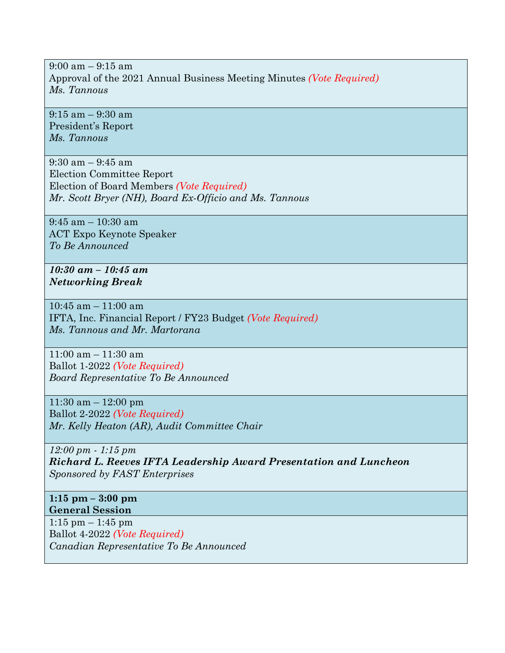$9:00$  am  $-9:15$  am Approval of the 2021 Annual Business Meeting Minutes *(Vote Required) Ms. Tannous*

9:15 am – 9:30 am President's Report *Ms. Tannous*

9:30 am – 9:45 am Election Committee Report Election of Board Members *(Vote Required) Mr. Scott Bryer (NH), Board Ex-Officio and Ms. Tannous*

9:45 am – 10:30 am ACT Expo Keynote Speaker *To Be Announced*

*10:30 am – 10:45 am Networking Break*

10:45 am – 11:00 am IFTA, Inc. Financial Report / FY23 Budget *(Vote Required) Ms. Tannous and Mr. Martorana*

11:00 am – 11:30 am Ballot 1-2022 *(Vote Required) Board Representative To Be Announced*

11:30 am – 12:00 pm Ballot 2-2022 *(Vote Required) Mr. Kelly Heaton (AR), Audit Committee Chair*

*12:00 pm - 1:15 pm Richard L. Reeves IFTA Leadership Award Presentation and Luncheon Sponsored by FAST Enterprises*

**1:15 pm – 3:00 pm General Session**

1:15 pm – 1:45 pm Ballot 4-2022 *(Vote Required) Canadian Representative To Be Announced*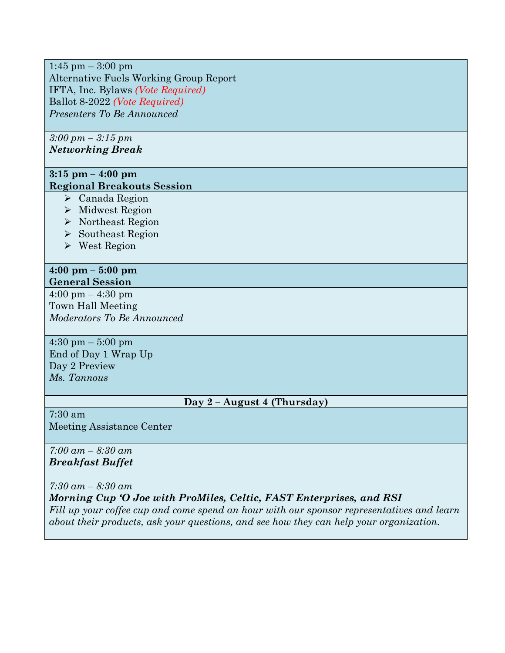1:45 pm  $-$  3:00 pm Alternative Fuels Working Group Report IFTA, Inc. Bylaws *(Vote Required)* Ballot 8-2022 *(Vote Required) Presenters To Be Announced*

*3:00 pm – 3:15 pm Networking Break*

# **3:15 pm – 4:00 pm Regional Breakouts Session**

- Canada Region
- $\triangleright$  Midwest Region
- ▶ Northeast Region
- $\triangleright$  Southeast Region
- West Region

#### **4:00 pm – 5:00 pm General Session**

4:00 pm – 4:30 pm Town Hall Meeting *Moderators To Be Announced*

4:30 pm – 5:00 pm End of Day 1 Wrap Up Day 2 Preview *Ms. Tannous*

# **Day 2 – August 4 (Thursday)**

7:30 am Meeting Assistance Center

## *7:00 am – 8:30 am Breakfast Buffet*

*7:30 am – 8:30 am Morning Cup 'O Joe with ProMiles, Celtic, FAST Enterprises, and RSI Fill up your coffee cup and come spend an hour with our sponsor representatives and learn about their products, ask your questions, and see how they can help your organization.*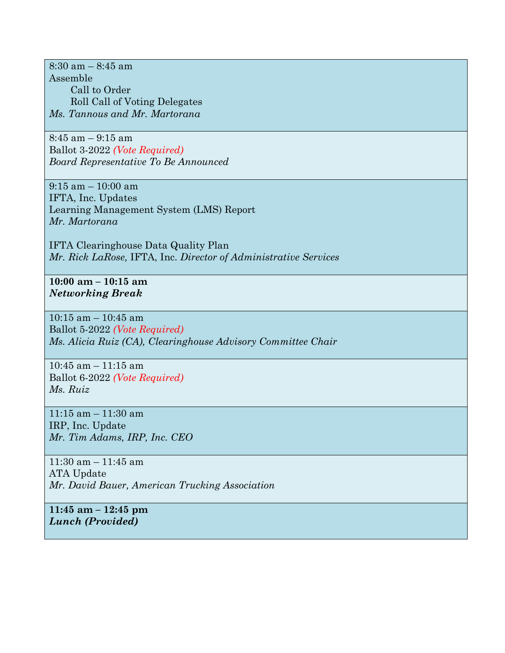$8:30$  am  $-8:45$  am Assemble Call to Order Roll Call of Voting Delegates *Ms. Tannous and Mr. Martorana*

8:45 am – 9:15 am Ballot 3-2022 *(Vote Required) Board Representative To Be Announced*

9:15 am – 10:00 am IFTA, Inc. Updates Learning Management System (LMS) Report *Mr. Martorana*

IFTA Clearinghouse Data Quality Plan *Mr. Rick LaRose,* IFTA, Inc. *Director of Administrative Services*

**10:00 am – 10:15 am** *Networking Break*

10:15 am – 10:45 am Ballot 5-2022 *(Vote Required) Ms. Alicia Ruiz (CA), Clearinghouse Advisory Committee Chair*

10:45 am – 11:15 am Ballot 6-2022 *(Vote Required) Ms. Ruiz*

 $11:15$  am  $-11:30$  am IRP, Inc. Update *Mr. Tim Adams, IRP, Inc. CEO*

11:30 am – 11:45 am ATA Update *Mr. David Bauer, American Trucking Association* 

**11:45 am – 12:45 pm** *Lunch (Provided)*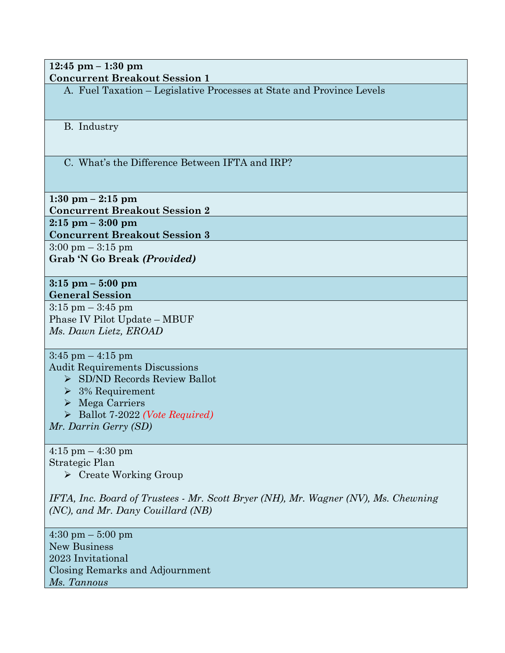**12:45 pm – 1:30 pm Concurrent Breakout Session 1**

A. Fuel Taxation – Legislative Processes at State and Province Levels

B. Industry

C. What's the Difference Between IFTA and IRP?

**1:30 pm – 2:15 pm Concurrent Breakout Session 2 2:15 pm – 3:00 pm Concurrent Breakout Session 3**

 $3:00 \text{ pm} - 3:15 \text{ pm}$ **Grab 'N Go Break** *(Provided)*

**3:15 pm – 5:00 pm General Session**

 $3:15$  pm  $-3:45$  pm Phase IV Pilot Update – MBUF *Ms. Dawn Lietz, EROAD*

 $3:45$  pm  $-4:15$  pm Audit Requirements Discussions

▶ SD/ND Records Review Ballot

- $\geq$  3% Requirement
- Mega Carriers
- Ballot 7-2022 *(Vote Required)*

*Mr. Darrin Gerry (SD)*

4:15 pm – 4:30 pm Strategic Plan

Create Working Group

*IFTA, Inc. Board of Trustees - Mr. Scott Bryer (NH), Mr. Wagner (NV), Ms. Chewning (NC), and Mr. Dany Couillard (NB)*

4:30 pm – 5:00 pm New Business 2023 Invitational Closing Remarks and Adjournment *Ms. Tannous*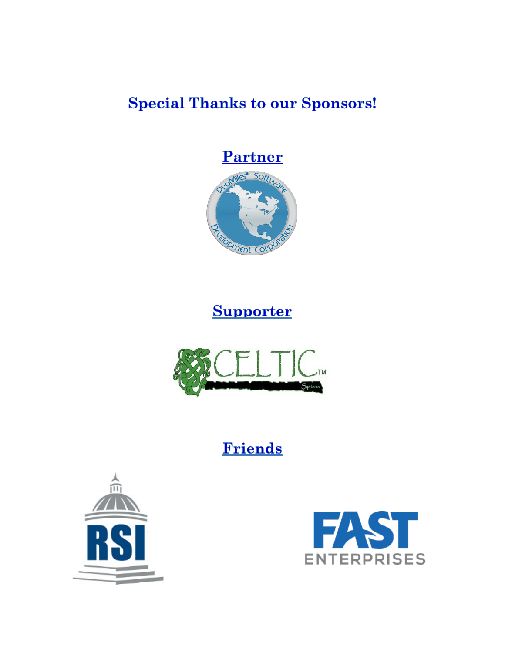# **Special Thanks to our Sponsors!**





# **Supporter**



# **Friends**



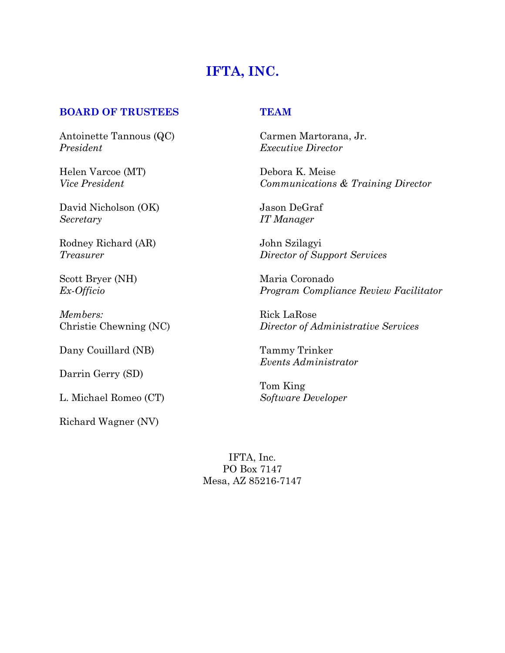# **IFTA, INC.**

# **BOARD OF TRUSTEES TEAM**

Antoinette Tannous (QC) Carmen Martorana, Jr. *President Executive Director*

Helen Varcoe (MT) Debora K. Meise

David Nicholson (OK) Jason DeGraf *Secretary IT Manager*

Rodney Richard (AR) John Szilagyi

*Members:* Rick LaRose

Dany Couillard (NB) Tammy Trinker

Darrin Gerry (SD)

L. Michael Romeo (CT) *Software Developer*

Richard Wagner (NV)

*Vice President Communications & Training Director*

*Treasurer Director of Support Services*

Scott Bryer (NH) Maria Coronado *Ex-Officio Program Compliance Review Facilitator*

Christie Chewning (NC) *Director of Administrative Services*

*Events Administrator*

Tom King

IFTA, Inc. PO Box 7147 Mesa, AZ 85216-7147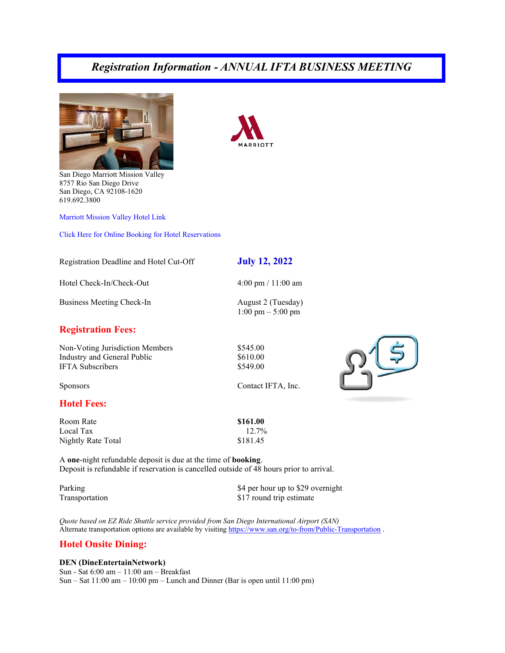# *Registration Information - ANNUAL IFTA BUSINESS MEETING*





San Diego Marriott Mission Valley 8757 Rio San Diego Drive San Diego, CA 92108-1620 619.692.3800

[Marriott Mission Valley Hotel Link](https://www.marriott.com/en-us/hotels/sanmv-san-diego-marriott-mission-valley/overview/)

[Click Here for Online Booking for Hotel Reservations](https://www.marriott.com/event-reservations/reservation-link.mi?id=1650564436675&key=GRP&app=resvlink)

#### Registration Deadline and Hotel Cut-Off **July 12, 2022**

1:00 pm – 5:00 pm

Hotel Check-In/Check-Out 4:00 pm / 11:00 am

Business Meeting Check-In August 2 (Tuesday)

## **Registration Fees:**

Non-Voting Jurisdiction Members \$545.00 Industry and General Public  $$610.00$ <br>IFTA Subscribers \$549.00 **IFTA Subscribers** 

Sponsors Contact IFTA, Inc.

### **Hotel Fees:**

Room Rate **\$161.00** Local Tax  $12.7\%$ Nightly Rate Total \$181.45

A **one**-night refundable deposit is due at the time of **booking**. Deposit is refundable if reservation is cancelled outside of 48 hours prior to arrival.

Parking  $\frac{1}{2}$  Parking  $\frac{1}{2}$  per hour up to \$29 overnight Transportation  $$17$  round trip estimate

*Quote based on EZ Ride Shuttle service provided from San Diego International Airport (SAN)* Alternate transportation options are available by visiting<https://www.san.org/to-from/Public-Transportation> .

#### **Hotel Onsite Dining:**

#### **DEN (DineEntertainNetwork)**

Sun - Sat 6:00 am – 11:00 am – Breakfast Sun – Sat 11:00 am – 10:00 pm – Lunch and Dinner (Bar is open until 11:00 pm)

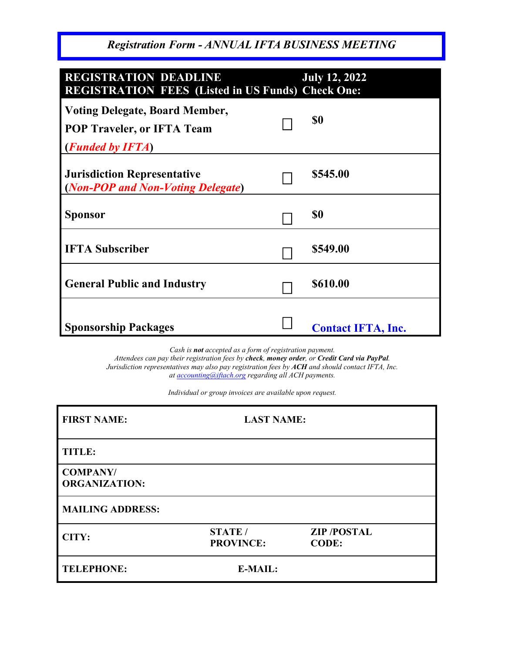*Registration Form - ANNUAL IFTA BUSINESS MEETING*

| <b>REGISTRATION DEADLINE</b><br><b>REGISTRATION FEES (Listed in US Funds) Check One:</b>                | <b>July 12, 2022</b>      |
|---------------------------------------------------------------------------------------------------------|---------------------------|
| <b>Voting Delegate, Board Member,</b><br><b>POP Traveler, or IFTA Team</b><br>( <b>Funded by IFTA</b> ) | \$0                       |
| <b>Jurisdiction Representative</b><br>(Non-POP and Non-Voting Delegate)                                 | \$545.00                  |
| <b>Sponsor</b>                                                                                          | \$0                       |
| <b>IFTA Subscriber</b>                                                                                  | \$549.00                  |
| <b>General Public and Industry</b>                                                                      | \$610.00                  |
| <b>Sponsorship Packages</b>                                                                             | <b>Contact IFTA, Inc.</b> |

*Cash is not accepted as a form of registration payment.*

*Attendees can pay their registration fees by check, money order, or Credit Card via PayPal. Jurisdiction representatives may also pay registration fees by ACH and should contact IFTA, Inc. a[t accounting@iftach.org](mailto:accounting@iftach.org) regarding all ACH payments.*

*Individual or group invoices are available upon request.*

| <b>FIRST NAME:</b>                      | <b>LAST NAME:</b>                  |                                   |  |
|-----------------------------------------|------------------------------------|-----------------------------------|--|
| <b>TITLE:</b>                           |                                    |                                   |  |
| <b>COMPANY/</b><br><b>ORGANIZATION:</b> |                                    |                                   |  |
| <b>MAILING ADDRESS:</b>                 |                                    |                                   |  |
| CITY:                                   | <b>STATE</b> /<br><b>PROVINCE:</b> | <b>ZIP/POSTAL</b><br><b>CODE:</b> |  |
| <b>TELEPHONE:</b>                       | E-MAIL:                            |                                   |  |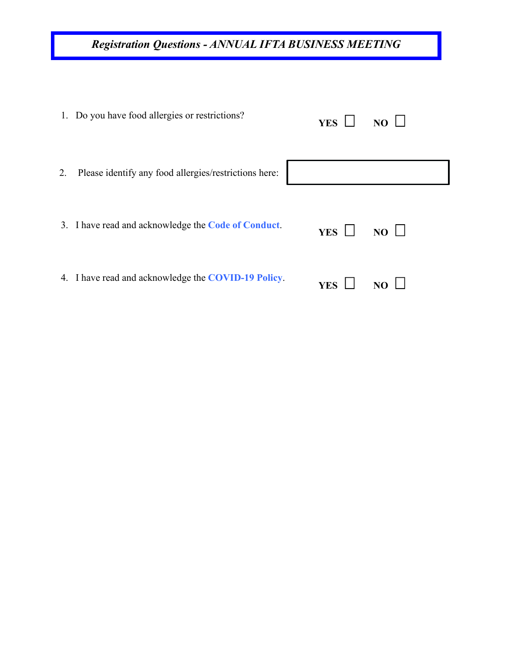# *Registration Questions - ANNUAL IFTA BUSINESS MEETING*

|    | 1. Do you have food allergies or restrictions?        | YES $\Box$ | $NO$ $\Box$ |
|----|-------------------------------------------------------|------------|-------------|
| 2. | Please identify any food allergies/restrictions here: |            |             |
|    | 3. I have read and acknowledge the Code of Conduct.   | YES $\Box$ | $NO$ $\Box$ |
|    | 4. I have read and acknowledge the COVID-19 Policy.   | <b>YES</b> |             |